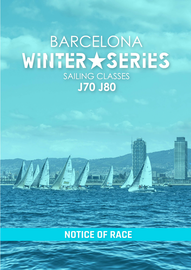# BARCELONA WINTERXSERIES SAILING CLASSES **J70 J80**

# **NOTICE OF RACE**

 $rac{\mathcal{E} \text{A}}{17 \text{A} \cdot \frac{1}{4} \cdot \frac{1}{4} \cdot \frac{1}{4}}$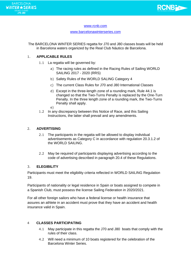

#### www.rcnb.com

#### www.barcelonawinterseries.com

The BARCELONA WINTER SERIES regatta for J70 and J80 classes boats will be held in Barcelona waters organized by the Real Club Náutico de Barcelona.

# 1. **APPLICABLE RULES**

- 1.1 La regatta will be governed by:
	- a) The racing rules as defined in the Racing Rules of Sailing WORLD SAILING 2017 - 2020 (RRS)
	- b) Safety Rules of the WORLD SALING Category 4
	- c) The current Class Rules for J70 and J80 International Classes
	- d) Except in the three-length zone of a rounding mark, Rule 44.1 is changed so that the Two-Turns Penalty is replaced by the One-Turn Penalty. In the three length zone of a rounding mark, the Two-Turns Penalty shall apply.
	- e)
- 1.2 In any discrepancy between this Notice of Race, and this Sailing Instructions, the latter shall prevail and any amendments.

# 2. **ADVERTISING**

- 2.1 The participants in the regatta will be allowed to display individual advertisements as Category C in accordance with regulation 20.3.1.2 of the WORLD SAILING.
- 2.2 May be required of participants displaying advertising according to the code of advertising described in paragraph 20.4 of these Regulations.

# 3. **ELEGIBILITY**

Participants must meet the eligibility criteria reflected in WORLD SAILING Regulation 19.

Participants of nationality or legal residence in Spain or boats assigned to compete in a Spanish Club, must possess the license Sailing Federation in 2020/2021.

For all other foreign sailors who have a federal license or health insurance that assures an athlete in an accident must prove that they have an accident and health insurance valid in Spain.

# 4 **CLASSES PARTICIPATING**

- 4.1 May participate in this regatta the J70 and J80 boats that comply with the rules of their class.
- 4.2 Will need a minimum of 10 boats registered for the celebration of the Barcelona Winter Series.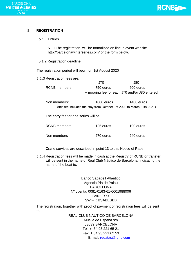



# 5. **REGISTRATION**

#### 5.1 Entries

5.1.1The registration will be formalized on line in event website http://barcelonawinterseries.com/ or the form below.

#### 5.1.2 Registration deadline

The registration period will begin on 1st August 2020

5.1.3 Registration fees are:

|              | J70.                                          | J80.      |
|--------------|-----------------------------------------------|-----------|
| RCNB members | 750 euros                                     | 600 euros |
|              | + mooring fee for each J70 and/or J80 entered |           |

Non members: 1600 euros 1400 euros (this fee includes the stay from October 1st 2020 to March 31th 2021)

The entry fee for one series will be:

| <b>RCNB</b> members | 125 euros | 100 euros |
|---------------------|-----------|-----------|
| Non members         | 270 euros | 240 euros |

Crane services are described in point 13 to this Notice of Race.

5.1.4 Registration fees will be made in cash at the Registry of RCNB or transfer will be sent in the name of Real Club Náutico de Barcelona, indicating the name of the boat to:

> Banco Sabadell Atlántico Agencia Pla de Palau BARCELONA Nº cuenta: 0081-0163-61-0001988006 IBAN: ES90 SWIFT: BSABESBB

The registration, together with proof of payment of registration fees will be sent to:

> REAL CLUB NÁUTICO DE BARCELONA Muelle de España s/n 08039 BARCELONA Tel. + 34 93 221 65 21 Fax. + 34 93 221 62 53 E-mail: [regatas@rcnb.com](mailto:regatas@rcnb.com)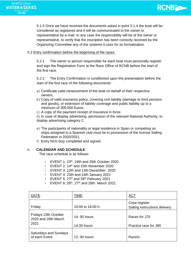5.1.5 Once we have received the documents asked in point 5.1.4 the boat will be considered as registered and it will be communicated to the owner or representative by e-mail. In any case the responsibility will be of the owner or representative, to verify that the inscription has been correctly received by the Organizing Committee any of the systems it uses for its formalization.

**RCNBLD-**

# 5.2 Entry confirmation before the beginning of the races:

5.2.1 The owner or person responsible for each boat must personally register and sign the Registration Form at the Race Office of RCNB before the start of the first race.

5.2.2 The Entry Confirmation is conditioned upon the presentation before the start of the first race of the following documents:

- a) Certificate valid measurement of the boat on behalf of their respective owners.
- b) Copy of valid insurance policy, covering civil liability (damage to third persons and goods), or extension of liability coverage and public liability up to a minimum of 300,000 Euros.
- c) A copy of the payment receipt of insurance in force.

d) In case of display advertising, permission of the relevant National Authority, to display advertising category C.

- e) The participants of nationality or legal residence in Spain or competing on ships assigned to a Spanish club must be in possession of the license Sailing Federation in 2020/2021.
- f) Entry form duly completed and signed.

# 6. **CALENDAR AND SCHEDULE**

The race schedule is as follows:

- EVENT 1: 23<sup>th</sup>, 24th and 25th October 2020
- EVENT 2: 14<sup>th</sup> and 15th November 2020
- EVENT 3: 12th and 13th December 2020
- EVENT 4: 23th and 24th January 2021
- EVENT 5: 27<sup>th</sup> and 28<sup>th</sup> February 2021
- $\cdot$  EVENT 6::26<sup>th</sup>, 27<sup>th</sup> and 28th March 2021

| <b>DATE</b>                                         | TIME                       | <u>ACT</u>                                      |
|-----------------------------------------------------|----------------------------|-------------------------------------------------|
| Friday                                              | 10:00 to 16:00 h.          | Crew register<br>Sailing instructions delivery. |
| Fridays 23th October<br>2020 and 26th March<br>2021 | 14:00 hours<br>14:30 hours | Races for J70<br>Practice race for J80          |
| <b>Saturdays and Sundays</b><br>of each Event       | 12:00 hours                | Race/s.                                         |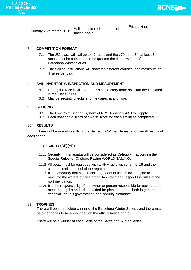



| Sunday 28th March 2020 | Will be indicated on the official<br>notice board | Prize giving. |
|------------------------|---------------------------------------------------|---------------|
|------------------------|---------------------------------------------------|---------------|

# 7. **COMPETITION FORMAT**

- 7.1 The J80 class will sail up to 42 races and the J70 up to 54; at least 6 races must be completed to be granted the title of winner of the Barcelona Winter Series
- 7.2 The Sailing Instructions will show the different courses, and maximum of 4 races per day.

# 8. **SAIL INVENTORY. INSPECTION AND MESUREMENT**

- 8.1 During the race it will not be possible to carry more sails tan the indicated in the Class Rules.
- 8.2 May be security checks and measures at any time.

#### 9. **SCORING**

- 9.1 The Low Point Scoring System of RRS Appendix A4.1 will apply.
- 9.2 Each boat can discard her worst score for each six races completed.

### 10. **RESULTS**

 There will be overall results of the Barcelona Winter Series and overall results of each series

#### 11. **SECURITY** (DP)(HP)

- 11.1 Security in this regatta will be considered as Category 4 according the Special Rules for Offshore Racing WORLD SAILING.
- 11.2 All boats must be equipped with a VHF radio with channel 16 and the communication cannel of the regatta.
- 11.3 It is mandatory that all participating boats to use its own engine to navigate the waters of the Port of Barcelona and respect the rules of the port navigation.
- 11.4 It is the responsibility of the owner or person responsible for each boat to meet the legal standards provided for pleasure boats, both in general and especially for his government, and security clearance.

# 12. **TROPHIES**

There will be an absolute winner of the Barcelona Winter Series , and there may be other prizes to be announced on the official notice board.

There will be a winner of each Serie of the Barcelona Winter Series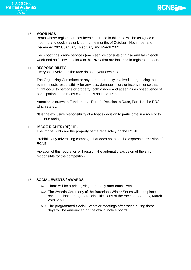

# **BARCELONA** WINTER \*SERIES **J70 J80**

# 13. **MOORINGS**

Boats whose registration has been confirmed in this race will be assigned a mooring and dock stay only during the months of October, November and December 2020, January , February and March 2021.

Each boat has crane services (each service consists of a rise and fall)in each week-end as follow in point 6 to this NOR that are included in registration fees.

#### 14. **RESPONSIBILITY**

Everyone involved in the race do so at your own risk.

The Organizing Committee or any person or entity involved in organizing the event, rejects responsibility for any loss, damage, injury or inconvenience that might occur to persons or property, both ashore and at sea as a consequence of participation in the races covered this notice of Race.

Attention is drawn to Fundamental Rule 4, Decision to Race, Part 1 of the RRS, which states:

"It is the exclusive responsibility of a boat's decision to participate in a race or to continue racing."

#### 15. **IMAGE RIGHTS (**DP)(HP)

The image rights are the property of the race solely on the RCNB.

Prohibits any advertising campaign that does not have the express permission of RCNB.

Violation of this regulation will result in the automatic exclusion of the ship responsible for the competition.

# 16. **SOCIAL EVENTS / AWARDS**

- 16.1 There will be a price giving ceremony after each Event
- 16.2 The Awards Ceremony of the Barcelona Winter Series will take place once published the general classifications of the races on Sunday, March 28th, 2021.
- 16.3 The programmed Social Events or meetings after races during these days will be announced on the official notice board.